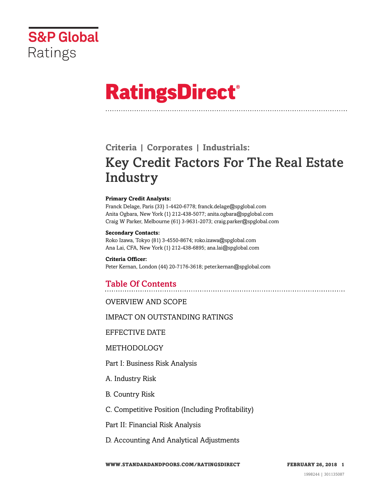

# **RatingsDirect®**

# **Criteria | Corporates | Industrials:** Key Credit Factors For The Real Estate **Industry**

#### **Primary Credit Analysts:**

Franck Delage, Paris (33) 1-4420-6778; franck.delage@spglobal.com Anita Ogbara, New York (1) 212-438-5077; anita.ogbara@spglobal.com Craig W Parker, Melbourne (61) 3-9631-2073; craig.parker@spglobal.com

#### **Secondary Contacts:**

Roko Izawa, Tokyo (81) 3-4550-8674; roko.izawa@spglobal.com Ana Lai, CFA, New York (1) 212-438-6895; ana.lai@spglobal.com

**Criteria Officer:** Peter Kernan, London (44) 20-7176-3618; peter.kernan@spglobal.com

# Table Of Contents

[OVERVIEW AND SCOPE](#page-2-0)

[IMPACT ON OUTSTANDING RATINGS](#page-2-1)

[EFFECTIVE DATE](#page-2-2)

[METHODOLOGY](#page-3-0)

[Part I: Business Risk Analysis](#page-3-1)

[A. Industry Risk](#page-3-2)

[B. Country Risk](#page-6-0)

[C. Competitive Position \(Including Profitability\)](#page-6-1)

[Part II: Financial Risk Analysis](#page-12-0)

[D. Accounting And Analytical Adjustments](#page-12-1)

**WWW.STANDARDANDPOORS.COM/RATINGSDIRECT FEBRUARY 26, 2018 1**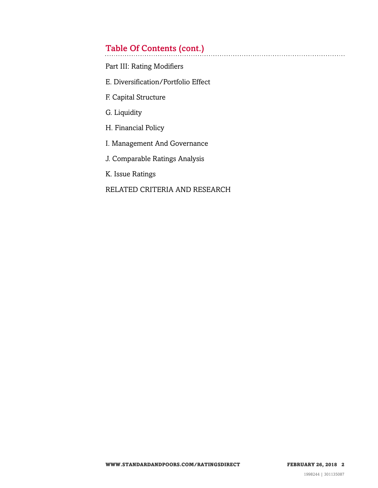# Table Of Contents (cont.)

[Part III: Rating Modifiers](#page-16-0)

- [E. Diversification/Portfolio Effect](#page-16-1)
- [F. Capital Structure](#page-16-2)
- [G. Liquidity](#page-17-0)
- [H. Financial Policy](#page-18-0)
- [I. Management And Governance](#page-19-0)
- [J. Comparable Ratings Analysis](#page-19-1)

[K. Issue Ratings](#page-19-2)

### [RELATED CRITERIA AND RESEARCH](#page-21-0)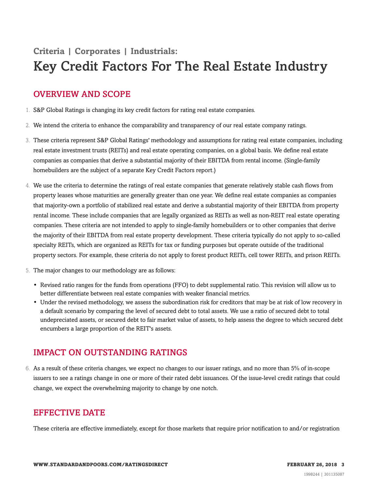# **Criteria | Corporates | Industrials:** Key Credit Factors For The Real Estate Industry

# <span id="page-2-0"></span>OVERVIEW AND SCOPE

- 1. S&P Global Ratings is changing its key credit factors for rating real estate companies.
- 2. We intend the criteria to enhance the comparability and transparency of our real estate company ratings.
- 3. These criteria represent S&P Global Ratings' methodology and assumptions for rating real estate companies, including real estate investment trusts (REITs) and real estate operating companies, on a global basis. We define real estate companies as companies that derive a substantial majority of their EBITDA from rental income. (Single-family homebuilders are the subject of a separate Key Credit Factors report.)
- 4. We use the criteria to determine the ratings of real estate companies that generate relatively stable cash flows from property leases whose maturities are generally greater than one year. We define real estate companies as companies that majority-own a portfolio of stabilized real estate and derive a substantial majority of their EBITDA from property rental income. These include companies that are legally organized as REITs as well as non-REIT real estate operating companies. These criteria are not intended to apply to single-family homebuilders or to other companies that derive the majority of their EBITDA from real estate property development. These criteria typically do not apply to so-called specialty REITs, which are organized as REITs for tax or funding purposes but operate outside of the traditional property sectors. For example, these criteria do not apply to forest product REITs, cell tower REITs, and prison REITs.
- 5. The major changes to our methodology are as follows:
	- Revised ratio ranges for the funds from operations (FFO) to debt supplemental ratio. This revision will allow us to better differentiate between real estate companies with weaker financial metrics.
	- Under the revised methodology, we assess the subordination risk for creditors that may be at risk of low recovery in a default scenario by comparing the level of secured debt to total assets. We use a ratio of secured debt to total undepreciated assets, or secured debt to fair market value of assets, to help assess the degree to which secured debt encumbers a large proportion of the REIT's assets.

# <span id="page-2-1"></span>IMPACT ON OUTSTANDING RATINGS

6. As a result of these criteria changes, we expect no changes to our issuer ratings, and no more than 5% of in-scope issuers to see a ratings change in one or more of their rated debt issuances. Of the issue-level credit ratings that could change, we expect the overwhelming majority to change by one notch.

# <span id="page-2-2"></span>EFFECTIVE DATE

These criteria are effective immediately, except for those markets that require prior notification to and/or registration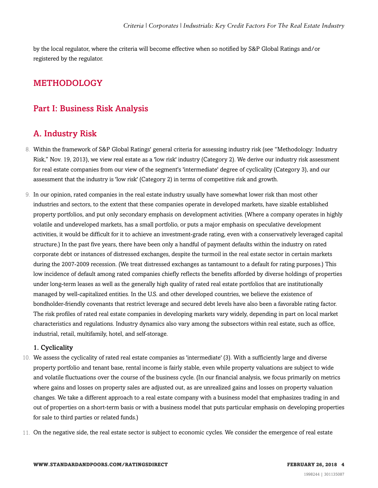by the local regulator, where the criteria will become effective when so notified by S&P Global Ratings and/or registered by the regulator.

## <span id="page-3-1"></span><span id="page-3-0"></span>METHODOLOGY

### <span id="page-3-2"></span>Part I: Business Risk Analysis

### A. Industry Risk

- 8. Within the framework of S&P Global Ratings' general criteria for assessing industry risk (see "Methodology: Industry Risk," Nov. 19, 2013), we view real estate as a 'low risk' industry (Category 2). We derive our industry risk assessment for real estate companies from our view of the segment's 'intermediate' degree of cyclicality (Category 3), and our assessment that the industry is 'low risk' (Category 2) in terms of competitive risk and growth.
- 9. In our opinion, rated companies in the real estate industry usually have somewhat lower risk than most other industries and sectors, to the extent that these companies operate in developed markets, have sizable established property portfolios, and put only secondary emphasis on development activities. (Where a company operates in highly volatile and undeveloped markets, has a small portfolio, or puts a major emphasis on speculative development activities, it would be difficult for it to achieve an investment-grade rating, even with a conservatively leveraged capital structure.) In the past five years, there have been only a handful of payment defaults within the industry on rated corporate debt or instances of distressed exchanges, despite the turmoil in the real estate sector in certain markets during the 2007-2009 recession. (We treat distressed exchanges as tantamount to a default for rating purposes.) This low incidence of default among rated companies chiefly reflects the benefits afforded by diverse holdings of properties under long-term leases as well as the generally high quality of rated real estate portfolios that are institutionally managed by well-capitalized entities. In the U.S. and other developed countries, we believe the existence of bondholder-friendly covenants that restrict leverage and secured debt levels have also been a favorable rating factor. The risk profiles of rated real estate companies in developing markets vary widely, depending in part on local market characteristics and regulations. Industry dynamics also vary among the subsectors within real estate, such as office, industrial, retail, multifamily, hotel, and self-storage.

#### 1. Cyclicality

- 10. We assess the cyclicality of rated real estate companies as 'intermediate' (3). With a sufficiently large and diverse property portfolio and tenant base, rental income is fairly stable, even while property valuations are subject to wide and volatile fluctuations over the course of the business cycle. (In our financial analysis, we focus primarily on metrics where gains and losses on property sales are adjusted out, as are unrealized gains and losses on property valuation changes. We take a different approach to a real estate company with a business model that emphasizes trading in and out of properties on a short-term basis or with a business model that puts particular emphasis on developing properties for sale to third parties or related funds.)
- 11. On the negative side, the real estate sector is subject to economic cycles. We consider the emergence of real estate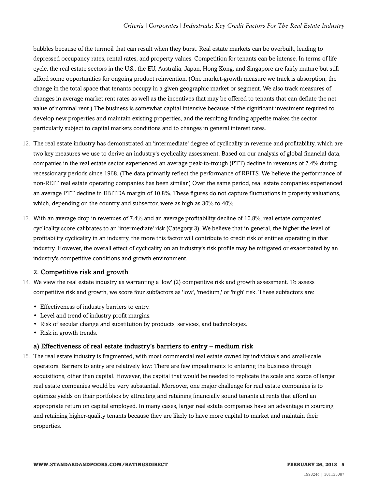bubbles because of the turmoil that can result when they burst. Real estate markets can be overbuilt, leading to depressed occupancy rates, rental rates, and property values. Competition for tenants can be intense. In terms of life cycle, the real estate sectors in the U.S., the EU, Australia, Japan, Hong Kong, and Singapore are fairly mature but still afford some opportunities for ongoing product reinvention. (One market-growth measure we track is absorption, the change in the total space that tenants occupy in a given geographic market or segment. We also track measures of changes in average market rent rates as well as the incentives that may be offered to tenants that can deflate the net value of nominal rent.) The business is somewhat capital intensive because of the significant investment required to develop new properties and maintain existing properties, and the resulting funding appetite makes the sector particularly subject to capital markets conditions and to changes in general interest rates.

- 12. The real estate industry has demonstrated an 'intermediate' degree of cyclicality in revenue and profitability, which are two key measures we use to derive an industry's cyclicality assessment. Based on our analysis of global financial data, companies in the real estate sector experienced an average peak-to-trough (PTT) decline in revenues of 7.4% during recessionary periods since 1968. (The data primarily reflect the performance of REITS. We believe the performance of non-REIT real estate operating companies has been similar.) Over the same period, real estate companies experienced an average PTT decline in EBITDA margin of 10.8%. These figures do not capture fluctuations in property valuations, which, depending on the country and subsector, were as high as 30% to 40%.
- 13. With an average drop in revenues of 7.4% and an average profitability decline of 10.8%, real estate companies' cyclicality score calibrates to an 'intermediate' risk (Category 3). We believe that in general, the higher the level of profitability cyclicality in an industry, the more this factor will contribute to credit risk of entities operating in that industry. However, the overall effect of cyclicality on an industry's risk profile may be mitigated or exacerbated by an industry's competitive conditions and growth environment.

#### 2. Competitive risk and growth

- 14. We view the real estate industry as warranting a 'low' (2) competitive risk and growth assessment. To assess competitive risk and growth, we score four subfactors as 'low', 'medium,' or 'high' risk. These subfactors are:
	- Effectiveness of industry barriers to entry.
	- Level and trend of industry profit margins.
	- Risk of secular change and substitution by products, services, and technologies.
	- Risk in growth trends.

#### a) Effectiveness of real estate industry's barriers to entry – medium risk

15. The real estate industry is fragmented, with most commercial real estate owned by individuals and small-scale operators. Barriers to entry are relatively low: There are few impediments to entering the business through acquisitions, other than capital. However, the capital that would be needed to replicate the scale and scope of larger real estate companies would be very substantial. Moreover, one major challenge for real estate companies is to optimize yields on their portfolios by attracting and retaining financially sound tenants at rents that afford an appropriate return on capital employed. In many cases, larger real estate companies have an advantage in sourcing and retaining higher-quality tenants because they are likely to have more capital to market and maintain their properties.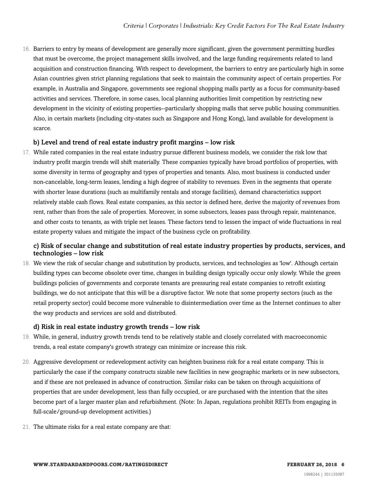16. Barriers to entry by means of development are generally more significant, given the government permitting hurdles that must be overcome, the project management skills involved, and the large funding requirements related to land acquisition and construction financing. With respect to development, the barriers to entry are particularly high in some Asian countries given strict planning regulations that seek to maintain the community aspect of certain properties. For example, in Australia and Singapore, governments see regional shopping malls partly as a focus for community-based activities and services. Therefore, in some cases, local planning authorities limit competition by restricting new development in the vicinity of existing properties--particularly shopping malls that serve public housing communities. Also, in certain markets (including city-states such as Singapore and Hong Kong), land available for development is scarce.

#### b) Level and trend of real estate industry profit margins – low risk

17. While rated companies in the real estate industry pursue different business models, we consider the risk low that industry profit margin trends will shift materially. These companies typically have broad portfolios of properties, with some diversity in terms of geography and types of properties and tenants. Also, most business is conducted under non-cancelable, long-term leases, lending a high degree of stability to revenues. Even in the segments that operate with shorter lease durations (such as multifamily rentals and storage facilities), demand characteristics support relatively stable cash flows. Real estate companies, as this sector is defined here, derive the majority of revenues from rent, rather than from the sale of properties. Moreover, in some subsectors, leases pass through repair, maintenance, and other costs to tenants, as with triple net leases. These factors tend to lessen the impact of wide fluctuations in real estate property values and mitigate the impact of the business cycle on profitability.

#### c) Risk of secular change and substitution of real estate industry properties by products, services, and technologies – low risk

18. We view the risk of secular change and substitution by products, services, and technologies as 'low'. Although certain building types can become obsolete over time, changes in building design typically occur only slowly. While the green buildings policies of governments and corporate tenants are pressuring real estate companies to retrofit existing buildings, we do not anticipate that this will be a disruptive factor. We note that some property sectors (such as the retail property sector) could become more vulnerable to disintermediation over time as the Internet continues to alter the way products and services are sold and distributed.

#### d) Risk in real estate industry growth trends – low risk

- 19. While, in general, industry growth trends tend to be relatively stable and closely correlated with macroeconomic trends, a real estate company's growth strategy can minimize or increase this risk.
- 20. Aggressive development or redevelopment activity can heighten business risk for a real estate company. This is particularly the case if the company constructs sizable new facilities in new geographic markets or in new subsectors, and if these are not preleased in advance of construction. Similar risks can be taken on through acquisitions of properties that are under development, less than fully occupied, or are purchased with the intention that the sites become part of a larger master plan and refurbishment. (Note: In Japan, regulations prohibit REITs from engaging in full-scale/ground-up development activities.)
- 21. The ultimate risks for a real estate company are that: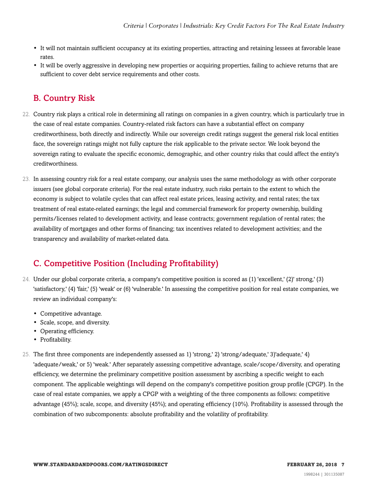- It will not maintain sufficient occupancy at its existing properties, attracting and retaining lessees at favorable lease rates.
- It will be overly aggressive in developing new properties or acquiring properties, failing to achieve returns that are sufficient to cover debt service requirements and other costs.

# <span id="page-6-0"></span>B. Country Risk

- 22. Country risk plays a critical role in determining all ratings on companies in a given country, which is particularly true in the case of real estate companies. Country-related risk factors can have a substantial effect on company creditworthiness, both directly and indirectly. While our sovereign credit ratings suggest the general risk local entities face, the sovereign ratings might not fully capture the risk applicable to the private sector. We look beyond the sovereign rating to evaluate the specific economic, demographic, and other country risks that could affect the entity's creditworthiness.
- 23. In assessing country risk for a real estate company, our analysis uses the same methodology as with other corporate issuers (see global corporate criteria). For the real estate industry, such risks pertain to the extent to which the economy is subject to volatile cycles that can affect real estate prices, leasing activity, and rental rates; the tax treatment of real estate-related earnings; the legal and commercial framework for property ownership, building permits/licenses related to development activity, and lease contracts; government regulation of rental rates; the availability of mortgages and other forms of financing; tax incentives related to development activities; and the transparency and availability of market-related data.

# <span id="page-6-1"></span>C. Competitive Position (Including Profitability)

- 24. Under our global corporate criteria, a company's competitive position is scored as (1) 'excellent,' (2)' strong,' (3) 'satisfactory,' (4) 'fair,' (5) 'weak' or (6) 'vulnerable.' In assessing the competitive position for real estate companies, we review an individual company's:
	- Competitive advantage.
	- Scale, scope, and diversity.
	- Operating efficiency.
	- Profitability.
- 25. The first three components are independently assessed as 1) 'strong,' 2) 'strong/adequate,' 3)'adequate,' 4) 'adequate/weak,' or 5) 'weak.' After separately assessing competitive advantage, scale/scope/diversity, and operating efficiency, we determine the preliminary competitive position assessment by ascribing a specific weight to each component. The applicable weightings will depend on the company's competitive position group profile (CPGP). In the case of real estate companies, we apply a CPGP with a weighting of the three components as follows: competitive advantage (45%); scale, scope, and diversity (45%); and operating efficiency (10%). Profitability is assessed through the combination of two subcomponents: absolute profitability and the volatility of profitability.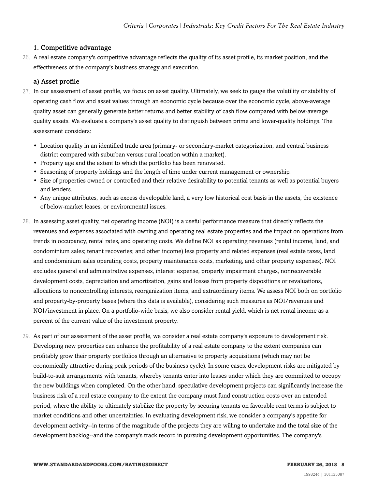#### 1. Competitive advantage

26. A real estate company's competitive advantage reflects the quality of its asset profile, its market position, and the effectiveness of the company's business strategy and execution.

#### a) Asset profile

- 27. In our assessment of asset profile, we focus on asset quality. Ultimately, we seek to gauge the volatility or stability of operating cash flow and asset values through an economic cycle because over the economic cycle, above-average quality asset can generally generate better returns and better stability of cash flow compared with below-average quality assets. We evaluate a company's asset quality to distinguish between prime and lower-quality holdings. The assessment considers:
	- Location quality in an identified trade area (primary- or secondary-market categorization, and central business district compared with suburban versus rural location within a market).
	- Property age and the extent to which the portfolio has been renovated.
	- Seasoning of property holdings and the length of time under current management or ownership.
	- Size of properties owned or controlled and their relative desirability to potential tenants as well as potential buyers and lenders.
	- Any unique attributes, such as excess developable land, a very low historical cost basis in the assets, the existence of below-market leases, or environmental issues.
- 28. In assessing asset quality, net operating income (NOI) is a useful performance measure that directly reflects the revenues and expenses associated with owning and operating real estate properties and the impact on operations from trends in occupancy, rental rates, and operating costs. We define NOI as operating revenues (rental income, land, and condominium sales; tenant recoveries; and other income) less property and related expenses (real estate taxes, land and condominium sales operating costs, property maintenance costs, marketing, and other property expenses). NOI excludes general and administrative expenses, interest expense, property impairment charges, nonrecoverable development costs, depreciation and amortization, gains and losses from property dispositions or revaluations, allocations to noncontrolling interests, reorganization items, and extraordinary items. We assess NOI both on portfolio and property-by-property bases (where this data is available), considering such measures as NOI/revenues and NOI/investment in place. On a portfolio-wide basis, we also consider rental yield, which is net rental income as a percent of the current value of the investment property.
- 29. As part of our assessment of the asset profile, we consider a real estate company's exposure to development risk. Developing new properties can enhance the profitability of a real estate company to the extent companies can profitably grow their property portfolios through an alternative to property acquisitions (which may not be economically attractive during peak periods of the business cycle). In some cases, development risks are mitigated by build-to-suit arrangements with tenants, whereby tenants enter into leases under which they are committed to occupy the new buildings when completed. On the other hand, speculative development projects can significantly increase the business risk of a real estate company to the extent the company must fund construction costs over an extended period, where the ability to ultimately stabilize the property by securing tenants on favorable rent terms is subject to market conditions and other uncertainties. In evaluating development risk, we consider a company's appetite for development activity--in terms of the magnitude of the projects they are willing to undertake and the total size of the development backlog--and the company's track record in pursuing development opportunities. The company's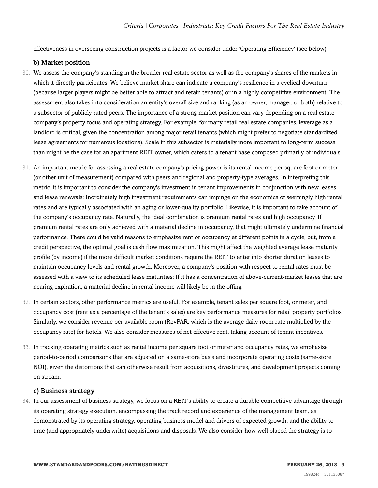effectiveness in overseeing construction projects is a factor we consider under 'Operating Efficiency' (see below).

#### b) Market position

- 30. We assess the company's standing in the broader real estate sector as well as the company's shares of the markets in which it directly participates. We believe market share can indicate a company's resilience in a cyclical downturn (because larger players might be better able to attract and retain tenants) or in a highly competitive environment. The assessment also takes into consideration an entity's overall size and ranking (as an owner, manager, or both) relative to a subsector of publicly rated peers. The importance of a strong market position can vary depending on a real estate company's property focus and operating strategy. For example, for many retail real estate companies, leverage as a landlord is critical, given the concentration among major retail tenants (which might prefer to negotiate standardized lease agreements for numerous locations). Scale in this subsector is materially more important to long-term success than might be the case for an apartment REIT owner, which caters to a tenant base composed primarily of individuals.
- 31. An important metric for assessing a real estate company's pricing power is its rental income per square foot or meter (or other unit of measurement) compared with peers and regional and property-type averages. In interpreting this metric, it is important to consider the company's investment in tenant improvements in conjunction with new leases and lease renewals: Inordinately high investment requirements can impinge on the economics of seemingly high rental rates and are typically associated with an aging or lower-quality portfolio. Likewise, it is important to take account of the company's occupancy rate. Naturally, the ideal combination is premium rental rates and high occupancy. If premium rental rates are only achieved with a material decline in occupancy, that might ultimately undermine financial performance. There could be valid reasons to emphasize rent or occupancy at different points in a cycle, but, from a credit perspective, the optimal goal is cash flow maximization. This might affect the weighted average lease maturity profile (by income) if the more difficult market conditions require the REIT to enter into shorter duration leases to maintain occupancy levels and rental growth. Moreover, a company's position with respect to rental rates must be assessed with a view to its scheduled lease maturities: If it has a concentration of above-current-market leases that are nearing expiration, a material decline in rental income will likely be in the offing.
- 32. In certain sectors, other performance metrics are useful. For example, tenant sales per square foot, or meter, and occupancy cost (rent as a percentage of the tenant's sales) are key performance measures for retail property portfolios. Similarly, we consider revenue per available room (RevPAR, which is the average daily room rate multiplied by the occupancy rate) for hotels. We also consider measures of net effective rent, taking account of tenant incentives.
- 33. In tracking operating metrics such as rental income per square foot or meter and occupancy rates, we emphasize period-to-period comparisons that are adjusted on a same-store basis and incorporate operating costs (same-store NOI), given the distortions that can otherwise result from acquisitions, divestitures, and development projects coming on stream.

#### c) Business strategy

34. In our assessment of business strategy, we focus on a REIT's ability to create a durable competitive advantage through its operating strategy execution, encompassing the track record and experience of the management team, as demonstrated by its operating strategy, operating business model and drivers of expected growth, and the ability to time (and appropriately underwrite) acquisitions and disposals. We also consider how well placed the strategy is to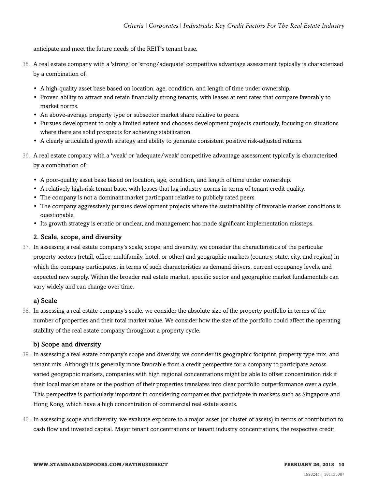anticipate and meet the future needs of the REIT's tenant base.

- 35. A real estate company with a 'strong' or 'strong/adequate' competitive advantage assessment typically is characterized by a combination of:
	- A high-quality asset base based on location, age, condition, and length of time under ownership.
	- Proven ability to attract and retain financially strong tenants, with leases at rent rates that compare favorably to market norms.
	- An above-average property type or subsector market share relative to peers.
	- Pursues development to only a limited extent and chooses development projects cautiously, focusing on situations where there are solid prospects for achieving stabilization.
	- A clearly articulated growth strategy and ability to generate consistent positive risk-adjusted returns.
- 36. A real estate company with a 'weak' or 'adequate/weak' competitive advantage assessment typically is characterized by a combination of:
	- A poor-quality asset base based on location, age, condition, and length of time under ownership.
	- A relatively high-risk tenant base, with leases that lag industry norms in terms of tenant credit quality.
	- The company is not a dominant market participant relative to publicly rated peers.
	- The company aggressively pursues development projects where the sustainability of favorable market conditions is questionable.
	- Its growth strategy is erratic or unclear, and management has made significant implementation missteps.

#### 2. Scale, scope, and diversity

37. In assessing a real estate company's scale, scope, and diversity, we consider the characteristics of the particular property sectors (retail, office, multifamily, hotel, or other) and geographic markets (country, state, city, and region) in which the company participates, in terms of such characteristics as demand drivers, current occupancy levels, and expected new supply. Within the broader real estate market, specific sector and geographic market fundamentals can vary widely and can change over time.

#### a) Scale

38. In assessing a real estate company's scale, we consider the absolute size of the property portfolio in terms of the number of properties and their total market value. We consider how the size of the portfolio could affect the operating stability of the real estate company throughout a property cycle.

#### b) Scope and diversity

- 39. In assessing a real estate company's scope and diversity, we consider its geographic footprint, property type mix, and tenant mix. Although it is generally more favorable from a credit perspective for a company to participate across varied geographic markets, companies with high regional concentrations might be able to offset concentration risk if their local market share or the position of their properties translates into clear portfolio outperformance over a cycle. This perspective is particularly important in considering companies that participate in markets such as Singapore and Hong Kong, which have a high concentration of commercial real estate assets.
- 40. In assessing scope and diversity, we evaluate exposure to a major asset (or cluster of assets) in terms of contribution to cash flow and invested capital. Major tenant concentrations or tenant industry concentrations, the respective credit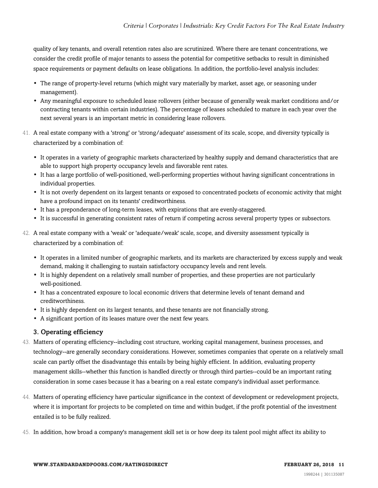quality of key tenants, and overall retention rates also are scrutinized. Where there are tenant concentrations, we consider the credit profile of major tenants to assess the potential for competitive setbacks to result in diminished space requirements or payment defaults on lease obligations. In addition, the portfolio-level analysis includes:

- The range of property-level returns (which might vary materially by market, asset age, or seasoning under management).
- Any meaningful exposure to scheduled lease rollovers (either because of generally weak market conditions and/or contracting tenants within certain industries). The percentage of leases scheduled to mature in each year over the next several years is an important metric in considering lease rollovers.
- 41. A real estate company with a 'strong' or 'strong/adequate' assessment of its scale, scope, and diversity typically is characterized by a combination of:
	- It operates in a variety of geographic markets characterized by healthy supply and demand characteristics that are able to support high property occupancy levels and favorable rent rates.
	- It has a large portfolio of well-positioned, well-performing properties without having significant concentrations in individual properties.
	- It is not overly dependent on its largest tenants or exposed to concentrated pockets of economic activity that might have a profound impact on its tenants' creditworthiness.
	- It has a preponderance of long-term leases, with expirations that are evenly-staggered.
	- It is successful in generating consistent rates of return if competing across several property types or subsectors.
- 42. A real estate company with a 'weak' or 'adequate/weak' scale, scope, and diversity assessment typically is characterized by a combination of:
	- It operates in a limited number of geographic markets, and its markets are characterized by excess supply and weak demand, making it challenging to sustain satisfactory occupancy levels and rent levels.
	- It is highly dependent on a relatively small number of properties, and these properties are not particularly well-positioned.
	- It has a concentrated exposure to local economic drivers that determine levels of tenant demand and creditworthiness.
	- It is highly dependent on its largest tenants, and these tenants are not financially strong.
	- A significant portion of its leases mature over the next few years.

#### 3. Operating efficiency

- 43. Matters of operating efficiency--including cost structure, working capital management, business processes, and technology--are generally secondary considerations. However, sometimes companies that operate on a relatively small scale can partly offset the disadvantage this entails by being highly efficient. In addition, evaluating property management skills--whether this function is handled directly or through third parties--could be an important rating consideration in some cases because it has a bearing on a real estate company's individual asset performance.
- 44. Matters of operating efficiency have particular significance in the context of development or redevelopment projects, where it is important for projects to be completed on time and within budget, if the profit potential of the investment entailed is to be fully realized.
- 45. In addition, how broad a company's management skill set is or how deep its talent pool might affect its ability to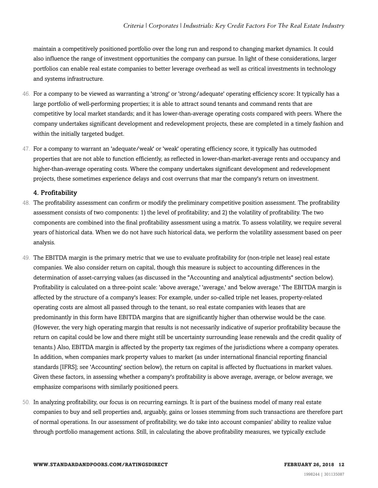maintain a competitively positioned portfolio over the long run and respond to changing market dynamics. It could also influence the range of investment opportunities the company can pursue. In light of these considerations, larger portfolios can enable real estate companies to better leverage overhead as well as critical investments in technology and systems infrastructure.

- 46. For a company to be viewed as warranting a 'strong' or 'strong/adequate' operating efficiency score: It typically has a large portfolio of well-performing properties; it is able to attract sound tenants and command rents that are competitive by local market standards; and it has lower-than-average operating costs compared with peers. Where the company undertakes significant development and redevelopment projects, these are completed in a timely fashion and within the initially targeted budget.
- 47. For a company to warrant an 'adequate/weak' or 'weak' operating efficiency score, it typically has outmoded properties that are not able to function efficiently, as reflected in lower-than-market-average rents and occupancy and higher-than-average operating costs. Where the company undertakes significant development and redevelopment projects, these sometimes experience delays and cost overruns that mar the company's return on investment.

#### 4. Profitability

- 48. The profitability assessment can confirm or modify the preliminary competitive position assessment. The profitability assessment consists of two components: 1) the level of profitability; and 2) the volatility of profitability. The two components are combined into the final profitability assessment using a matrix. To assess volatility, we require several years of historical data. When we do not have such historical data, we perform the volatility assessment based on peer analysis.
- 49. The EBITDA margin is the primary metric that we use to evaluate profitability for (non-triple net lease) real estate companies. We also consider return on capital, though this measure is subject to accounting differences in the determination of asset-carrying values (as discussed in the "Accounting and analytical adjustments" section below). Profitability is calculated on a three-point scale: 'above average,' 'average,' and 'below average.' The EBITDA margin is affected by the structure of a company's leases: For example, under so-called triple net leases, property-related operating costs are almost all passed through to the tenant, so real estate companies with leases that are predominantly in this form have EBITDA margins that are significantly higher than otherwise would be the case. (However, the very high operating margin that results is not necessarily indicative of superior profitability because the return on capital could be low and there might still be uncertainty surrounding lease renewals and the credit quality of tenants.) Also, EBITDA margin is affected by the property tax regimes of the jurisdictions where a company operates. In addition, when companies mark property values to market (as under international financial reporting financial standards [IFRS]; see 'Accounting' section below), the return on capital is affected by fluctuations in market values. Given these factors, in assessing whether a company's profitability is above average, average, or below average, we emphasize comparisons with similarly positioned peers.
- 50. In analyzing profitability, our focus is on recurring earnings. It is part of the business model of many real estate companies to buy and sell properties and, arguably, gains or losses stemming from such transactions are therefore part of normal operations. In our assessment of profitability, we do take into account companies' ability to realize value through portfolio management actions. Still, in calculating the above profitability measures, we typically exclude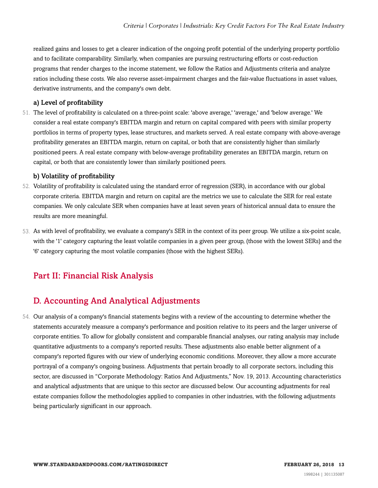realized gains and losses to get a clearer indication of the ongoing profit potential of the underlying property portfolio and to facilitate comparability. Similarly, when companies are pursuing restructuring efforts or cost-reduction programs that render charges to the income statement, we follow the Ratios and Adjustments criteria and analyze ratios including these costs. We also reverse asset-impairment charges and the fair-value fluctuations in asset values, derivative instruments, and the company's own debt.

#### a) Level of profitability

51. The level of profitability is calculated on a three-point scale: 'above average,' 'average,' and 'below average.' We consider a real estate company's EBITDA margin and return on capital compared with peers with similar property portfolios in terms of property types, lease structures, and markets served. A real estate company with above-average profitability generates an EBITDA margin, return on capital, or both that are consistently higher than similarly positioned peers. A real estate company with below-average profitability generates an EBITDA margin, return on capital, or both that are consistently lower than similarly positioned peers.

#### b) Volatility of profitability

- 52. Volatility of profitability is calculated using the standard error of regression (SER), in accordance with our global corporate criteria. EBITDA margin and return on capital are the metrics we use to calculate the SER for real estate companies. We only calculate SER when companies have at least seven years of historical annual data to ensure the results are more meaningful.
- 53. As with level of profitability, we evaluate a company's SER in the context of its peer group. We utilize a six-point scale, with the '1' category capturing the least volatile companies in a given peer group, (those with the lowest SERs) and the '6' category capturing the most volatile companies (those with the highest SERs).

# <span id="page-12-0"></span>Part II: Financial Risk Analysis

# <span id="page-12-1"></span>D. Accounting And Analytical Adjustments

54. Our analysis of a company's financial statements begins with a review of the accounting to determine whether the statements accurately measure a company's performance and position relative to its peers and the larger universe of corporate entities. To allow for globally consistent and comparable financial analyses, our rating analysis may include quantitative adjustments to a company's reported results. These adjustments also enable better alignment of a company's reported figures with our view of underlying economic conditions. Moreover, they allow a more accurate portrayal of a company's ongoing business. Adjustments that pertain broadly to all corporate sectors, including this sector, are discussed in "Corporate Methodology: Ratios And Adjustments," Nov. 19, 2013. Accounting characteristics and analytical adjustments that are unique to this sector are discussed below. Our accounting adjustments for real estate companies follow the methodologies applied to companies in other industries, with the following adjustments being particularly significant in our approach.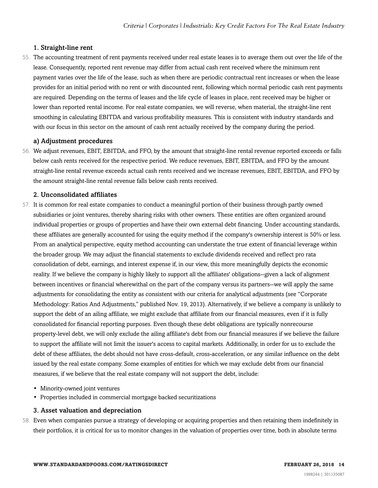#### 1. Straight-line rent

55. The accounting treatment of rent payments received under real estate leases is to average them out over the life of the lease. Consequently, reported rent revenue may differ from actual cash rent received where the minimum rent payment varies over the life of the lease, such as when there are periodic contractual rent increases or when the lease provides for an initial period with no rent or with discounted rent, following which normal periodic cash rent payments are required. Depending on the terms of leases and the life cycle of leases in place, rent received may be higher or lower than reported rental income. For real estate companies, we will reverse, when material, the straight-line rent smoothing in calculating EBITDA and various profitability measures. This is consistent with industry standards and with our focus in this sector on the amount of cash rent actually received by the company during the period.

#### a) Adjustment procedures

56. We adjust revenues, EBIT, EBITDA, and FFO, by the amount that straight-line rental revenue reported exceeds or falls below cash rents received for the respective period. We reduce revenues, EBIT, EBITDA, and FFO by the amount straight-line rental revenue exceeds actual cash rents received and we increase revenues, EBIT, EBITDA, and FFO by the amount straight-line rental revenue falls below cash rents received.

#### 2. Unconsolidated affiliates

- 57. It is common for real estate companies to conduct a meaningful portion of their business through partly owned subsidiaries or joint ventures, thereby sharing risks with other owners. These entities are often organized around individual properties or groups of properties and have their own external debt financing. Under accounting standards, these affiliates are generally accounted for using the equity method if the company's ownership interest is 50% or less. From an analytical perspective, equity method accounting can understate the true extent of financial leverage within the broader group. We may adjust the financial statements to exclude dividends received and reflect pro rata consolidation of debt, earnings, and interest expense if, in our view, this more meaningfully depicts the economic reality. If we believe the company is highly likely to support all the affiliates' obligations--given a lack of alignment between incentives or financial wherewithal on the part of the company versus its partners--we will apply the same adjustments for consolidating the entity as consistent with our criteria for analytical adjustments (see "Corporate Methodology: Ratios And Adjustments," published Nov. 19, 2013). Alternatively, if we believe a company is unlikely to support the debt of an ailing affiliate, we might exclude that affiliate from our financial measures, even if it is fully consolidated for financial reporting purposes. Even though these debt obligations are typically nonrecourse property-level debt, we will only exclude the ailing affiliate's debt from our financial measures if we believe the failure to support the affiliate will not limit the issuer's access to capital markets. Additionally, in order for us to exclude the debt of these affiliates, the debt should not have cross-default, cross-acceleration, or any similar influence on the debt issued by the real estate company. Some examples of entities for which we may exclude debt from our financial measures, if we believe that the real estate company will not support the debt, include:
	- Minority-owned joint ventures
	- Properties included in commercial mortgage backed securitizations

#### 3. Asset valuation and depreciation

58. Even when companies pursue a strategy of developing or acquiring properties and then retaining them indefinitely in their portfolios, it is critical for us to monitor changes in the valuation of properties over time, both in absolute terms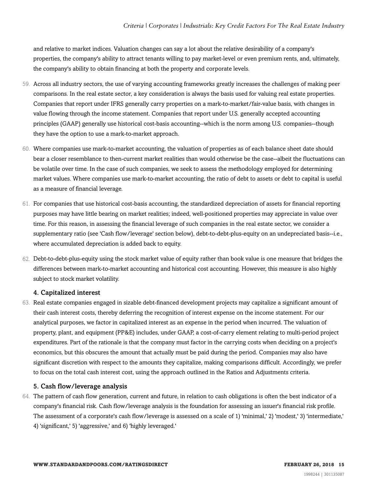and relative to market indices. Valuation changes can say a lot about the relative desirability of a company's properties, the company's ability to attract tenants willing to pay market-level or even premium rents, and, ultimately, the company's ability to obtain financing at both the property and corporate levels.

- 59. Across all industry sectors, the use of varying accounting frameworks greatly increases the challenges of making peer comparisons. In the real estate sector, a key consideration is always the basis used for valuing real estate properties. Companies that report under IFRS generally carry properties on a mark-to-market/fair-value basis, with changes in value flowing through the income statement. Companies that report under U.S. generally accepted accounting principles (GAAP) generally use historical cost-basis accounting--which is the norm among U.S. companies--though they have the option to use a mark-to-market approach.
- 60. Where companies use mark-to-market accounting, the valuation of properties as of each balance sheet date should bear a closer resemblance to then-current market realities than would otherwise be the case--albeit the fluctuations can be volatile over time. In the case of such companies, we seek to assess the methodology employed for determining market values. Where companies use mark-to-market accounting, the ratio of debt to assets or debt to capital is useful as a measure of financial leverage.
- 61. For companies that use historical cost-basis accounting, the standardized depreciation of assets for financial reporting purposes may have little bearing on market realities; indeed, well-positioned properties may appreciate in value over time. For this reason, in assessing the financial leverage of such companies in the real estate sector, we consider a supplementary ratio (see 'Cash flow/leverage' section below), debt-to-debt-plus-equity on an undepreciated basis--i.e., where accumulated depreciation is added back to equity.
- 62. Debt-to-debt-plus-equity using the stock market value of equity rather than book value is one measure that bridges the differences between mark-to-market accounting and historical cost accounting. However, this measure is also highly subject to stock market volatility.

#### 4. Capitalized interest

63. Real estate companies engaged in sizable debt-financed development projects may capitalize a significant amount of their cash interest costs, thereby deferring the recognition of interest expense on the income statement. For our analytical purposes, we factor in capitalized interest as an expense in the period when incurred. The valuation of property, plant, and equipment (PP&E) includes, under GAAP, a cost-of-carry element relating to multi-period project expenditures. Part of the rationale is that the company must factor in the carrying costs when deciding on a project's economics, but this obscures the amount that actually must be paid during the period. Companies may also have significant discretion with respect to the amounts they capitalize, making comparisons difficult. Accordingly, we prefer to focus on the total cash interest cost, using the approach outlined in the Ratios and Adjustments criteria.

#### 5. Cash flow/leverage analysis

64. The pattern of cash flow generation, current and future, in relation to cash obligations is often the best indicator of a company's financial risk. Cash flow/leverage analysis is the foundation for assessing an issuer's financial risk profile. The assessment of a corporate's cash flow/leverage is assessed on a scale of 1) 'minimal,' 2) 'modest,' 3) 'intermediate,' 4) 'significant,' 5) 'aggressive,' and 6) 'highly leveraged.'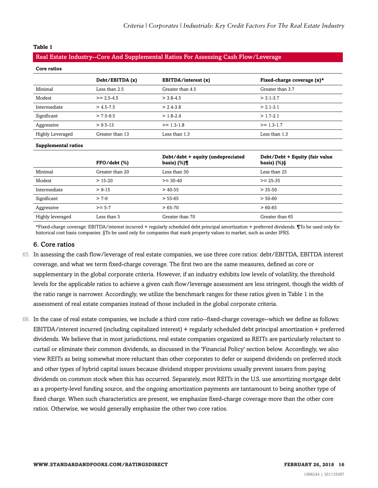#### **Table 1**

#### Real Estate Industry--Core And Supplemental Ratios For Assessing Cash Flow/Leverage

| Core ratios             |                 |                                                      |                                                  |
|-------------------------|-----------------|------------------------------------------------------|--------------------------------------------------|
|                         | Debt/EBITDA (x) | EBITDA/interest (x)                                  | Fixed-charge coverage $(x)^*$                    |
| Minimal                 | Less than 2.5   | Greater than 4.5                                     | Greater than 3.7                                 |
| Modest                  | $>= 2.5 - 4.5$  | $>$ 3.8-4.5                                          | $> 3.1 - 3.7$                                    |
| Intermediate            | $> 4.5 - 7.5$   | $> 2.4 - 3.8$                                        | $> 2.1 - 3.1$                                    |
| Significant             | $> 7.5 - 9.5$   | $> 1.8 - 2.4$                                        | $> 1.7 - 2.1$                                    |
| Aggressive              | $> 9.5 - 13$    | $>= 1.3 - 1.8$                                       | $>= 1.3 - 1.7$                                   |
| <b>Highly Leveraged</b> | Greater than 13 | Less than 1.3                                        | Less than 1.3                                    |
| Supplemental ratios     |                 |                                                      |                                                  |
|                         | FFO/debt (%)    | Debt/debt + equity (undepreciated<br>basis) $(\%)$ ¶ | Debt/Debt + Equity (fair value<br>basis) $(\%)\$ |
| Minimal                 | Greater than 20 | Less than 30                                         | Less than 25                                     |
| Modest                  | $> 15-20$       | $>= 30-40$                                           | $>= 25 - 35$                                     |
| Intermediate            | $> 9-15$        | $>$ 40-55                                            | $> 35 - 50$                                      |
| Significant             | $> 7-9$         | $> 55-65$                                            | $> 50-60$                                        |
| Aggressive              | $>= 5-7$        | $>65-70$                                             | $>60-65$                                         |
| Highly leveraged        | Less than 5     | Greater than 70                                      | Greater than 65                                  |

\*Fixed-charge coverage: EBITDA/interest incurred + regularly scheduled debt principal amortization + preferred dividends. ¶To be used only for historical cost basis companies. §To be used only for companies that mark property values to market, such as under IFRS.

#### 6. Core ratios

- 65. In assessing the cash flow/leverage of real estate companies, we use three core ratios: debt/EBITDA, EBITDA interest coverage, and what we term fixed-charge coverage. The first two are the same measures, defined as core or supplementary in the global corporate criteria. However, if an industry exhibits low levels of volatility, the threshold levels for the applicable ratios to achieve a given cash flow/leverage assessment are less stringent, though the width of the ratio range is narrower. Accordingly, we utilize the benchmark ranges for these ratios given in Table 1 in the assessment of real estate companies instead of those included in the global corporate criteria.
- 66. In the case of real estate companies, we include a third core ratio--fixed-charge coverage--which we define as follows: EBITDA/interest incurred (including capitalized interest) + regularly scheduled debt principal amortization + preferred dividends. We believe that in most jurisdictions, real estate companies organized as REITs are particularly reluctant to curtail or eliminate their common dividends, as discussed in the 'Financial Policy' section below. Accordingly, we also view REITs as being somewhat more reluctant than other corporates to defer or suspend dividends on preferred stock and other types of hybrid capital issues because dividend stopper provisions usually prevent issuers from paying dividends on common stock when this has occurred. Separately, most REITs in the U.S. use amortizing mortgage debt as a property-level funding source, and the ongoing amortization payments are tantamount to being another type of fixed charge. When such characteristics are present, we emphasize fixed-charge coverage more than the other core ratios. Otherwise, we would generally emphasize the other two core ratios.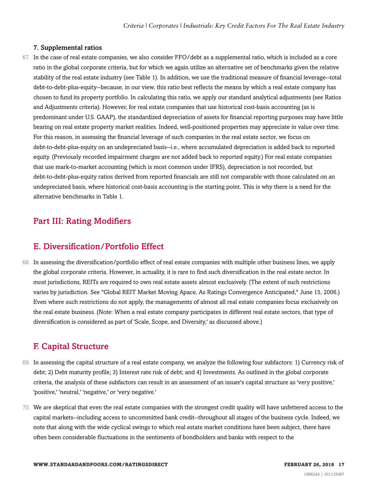#### 7. Supplemental ratios

67. In the case of real estate companies, we also consider FFO/debt as a supplemental ratio, which is included as a core ratio in the global corporate criteria, but for which we again utilize an alternative set of benchmarks given the relative stability of the real estate industry (see Table 1). In addition, we use the traditional measure of financial leverage--total debt-to-debt-plus-equity--because, in our view, this ratio best reflects the means by which a real estate company has chosen to fund its property portfolio. In calculating this ratio, we apply our standard analytical adjustments (see Ratios and Adjustments criteria). However, for real estate companies that use historical cost-basis accounting (as is predominant under U.S. GAAP), the standardized depreciation of assets for financial reporting purposes may have little bearing on real estate property market realities. Indeed, well-positioned properties may appreciate in value over time. For this reason, in assessing the financial leverage of such companies in the real estate sector, we focus on debt-to-debt-plus-equity on an undepreciated basis--i.e., where accumulated depreciation is added back to reported equity. (Previously recorded impairment charges are not added back to reported equity.) For real estate companies that use mark-to-market accounting (which is most common under IFRS), depreciation is not recorded, but debt-to-debt-plus-equity ratios derived from reported financials are still not comparable with those calculated on an undepreciated basis, where historical cost-basis accounting is the starting point. This is why there is a need for the alternative benchmarks in Table 1.

# <span id="page-16-0"></span>Part III: Rating Modifiers

# <span id="page-16-1"></span>E. Diversification/Portfolio Effect

68. In assessing the diversification/portfolio effect of real estate companies with multiple other business lines, we apply the global corporate criteria. However, in actuality, it is rare to find such diversification in the real estate sector. In most jurisdictions, REITs are required to own real estate assets almost exclusively. (The extent of such restrictions varies by jurisdiction. See "Global REIT Market Moving Apace, As Ratings Convergence Anticipated," June 15, 2006.) Even where such restrictions do not apply, the managements of almost all real estate companies focus exclusively on the real estate business. (Note: When a real estate company participates in different real estate sectors, that type of diversification is considered as part of 'Scale, Scope, and Diversity,' as discussed above.)

# <span id="page-16-2"></span>F. Capital Structure

- 69. In assessing the capital structure of a real estate company, we analyze the following four subfactors: 1) Currency risk of debt; 2) Debt maturity profile; 3) Interest rate risk of debt; and 4) Investments. As outlined in the global corporate criteria, the analysis of these subfactors can result in an assessment of an issuer's capital structure as 'very positive,' 'positive,' 'neutral,' 'negative,' or 'very negative.'
- 70. We are skeptical that even the real estate companies with the strongest credit quality will have unfettered access to the capital markets--including access to uncommitted bank credit--throughout all stages of the business cycle. Indeed, we note that along with the wide cyclical swings to which real estate market conditions have been subject, there have often been considerable fluctuations in the sentiments of bondholders and banks with respect to the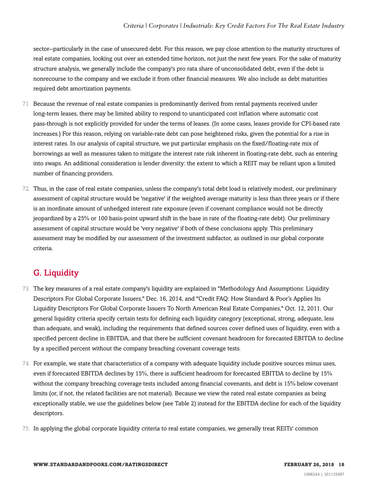sector--particularly in the case of unsecured debt. For this reason, we pay close attention to the maturity structures of real estate companies, looking out over an extended time horizon, not just the next few years. For the sake of maturity structure analysis, we generally include the company's pro rata share of unconsolidated debt, even if the debt is nonrecourse to the company and we exclude it from other financial measures. We also include as debt maturities required debt amortization payments.

- 71. Because the revenue of real estate companies is predominantly derived from rental payments received under long-term leases, there may be limited ability to respond to unanticipated cost inflation where automatic cost pass-through is not explicitly provided for under the terms of leases. (In some cases, leases provide for CPI-based rate increases.) For this reason, relying on variable-rate debt can pose heightened risks, given the potential for a rise in interest rates. In our analysis of capital structure, we put particular emphasis on the fixed/floating-rate mix of borrowings as well as measures taken to mitigate the interest rate risk inherent in floating-rate debt, such as entering into swaps. An additional consideration is lender diversity: the extent to which a REIT may be reliant upon a limited number of financing providers.
- 72. Thus, in the case of real estate companies, unless the company's total debt load is relatively modest, our preliminary assessment of capital structure would be 'negative' if the weighted average maturity is less than three years or if there is an inordinate amount of unhedged interest rate exposure (even if covenant compliance would not be directly jeopardized by a 25% or 100 basis-point upward shift in the base in rate of the floating-rate debt). Our preliminary assessment of capital structure would be 'very negative' if both of these conclusions apply. This preliminary assessment may be modified by our assessment of the investment subfactor, as outlined in our global corporate criteria.

# <span id="page-17-0"></span>G. Liquidity

- 73. The key measures of a real estate company's liquidity are explained in "Methodology And Assumptions: Liquidity Descriptors For Global Corporate Issuers," Dec. 16, 2014, and "Credit FAQ: How Standard & Poor's Applies Its Liquidity Descriptors For Global Corporate Issuers To North American Real Estate Companies," Oct. 12, 2011. Our general liquidity criteria specify certain tests for defining each liquidity category (exceptional, strong, adequate, less than adequate, and weak), including the requirements that defined sources cover defined uses of liquidity, even with a specified percent decline in EBITDA, and that there be sufficient covenant headroom for forecasted EBITDA to decline by a specified percent without the company breaching covenant coverage tests.
- 74. For example, we state that characteristics of a company with adequate liquidity include positive sources minus uses, even if forecasted EBITDA declines by 15%, there is sufficient headroom for forecasted EBITDA to decline by 15% without the company breaching coverage tests included among financial covenants, and debt is 15% below covenant limits (or, if not, the related facilities are not material). Because we view the rated real estate companies as being exceptionally stable, we use the guidelines below (see Table 2) instead for the EBITDA decline for each of the liquidity descriptors.
- 75. In applying the global corporate liquidity criteria to real estate companies, we generally treat REITs' common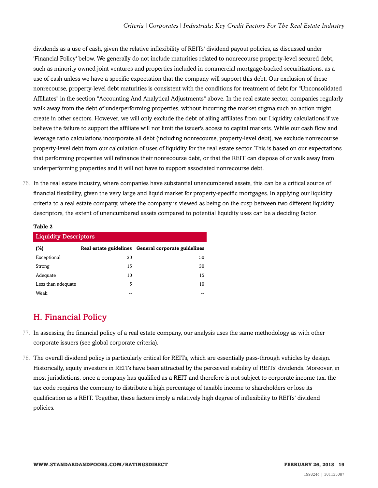dividends as a use of cash, given the relative inflexibility of REITs' dividend payout policies, as discussed under 'Financial Policy' below. We generally do not include maturities related to nonrecourse property-level secured debt, such as minority owned joint ventures and properties included in commercial mortgage-backed securitizations, as a use of cash unless we have a specific expectation that the company will support this debt. Our exclusion of these nonrecourse, property-level debt maturities is consistent with the conditions for treatment of debt for "Unconsolidated Affiliates" in the section "Accounting And Analytical Adjustments" above. In the real estate sector, companies regularly walk away from the debt of underperforming properties, without incurring the market stigma such an action might create in other sectors. However, we will only exclude the debt of ailing affiliates from our Liquidity calculations if we believe the failure to support the affiliate will not limit the issuer's access to capital markets. While our cash flow and leverage ratio calculations incorporate all debt (including nonrecourse, property-level debt), we exclude nonrecourse property-level debt from our calculation of uses of liquidity for the real estate sector. This is based on our expectations that performing properties will refinance their nonrecourse debt, or that the REIT can dispose of or walk away from underperforming properties and it will not have to support associated nonrecourse debt.

76. In the real estate industry, where companies have substantial unencumbered assets, this can be a critical source of financial flexibility, given the very large and liquid market for property-specific mortgages. In applying our liquidity criteria to a real estate company, where the company is viewed as being on the cusp between two different liquidity descriptors, the extent of unencumbered assets compared to potential liquidity uses can be a deciding factor.

#### **Table 2**

| <b>Liquidity Descriptors</b> |    |                                                     |  |  |
|------------------------------|----|-----------------------------------------------------|--|--|
| (%)                          |    | Real estate guidelines General corporate guidelines |  |  |
| Exceptional                  | 30 | 50                                                  |  |  |
| Strong                       | 15 | 30                                                  |  |  |
| Adequate                     | 10 | 15                                                  |  |  |
| Less than adequate           | 5  | 10                                                  |  |  |
| Weak                         |    |                                                     |  |  |

# <span id="page-18-0"></span>H. Financial Policy

- 77. In assessing the financial policy of a real estate company, our analysis uses the same methodology as with other corporate issuers (see global corporate criteria).
- 78. The overall dividend policy is particularly critical for REITs, which are essentially pass-through vehicles by design. Historically, equity investors in REITs have been attracted by the perceived stability of REITs' dividends. Moreover, in most jurisdictions, once a company has qualified as a REIT and therefore is not subject to corporate income tax, the tax code requires the company to distribute a high percentage of taxable income to shareholders or lose its qualification as a REIT. Together, these factors imply a relatively high degree of inflexibility to REITs' dividend policies.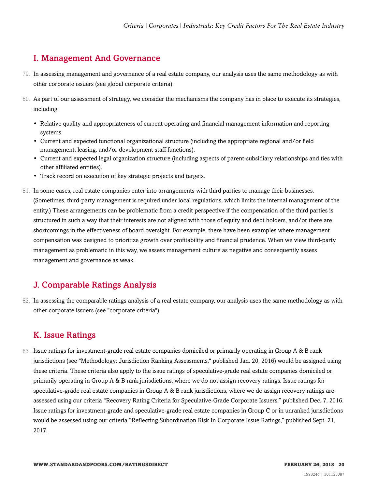# <span id="page-19-0"></span>I. Management And Governance

- 79. In assessing management and governance of a real estate company, our analysis uses the same methodology as with other corporate issuers (see global corporate criteria).
- 80. As part of our assessment of strategy, we consider the mechanisms the company has in place to execute its strategies, including:
	- Relative quality and appropriateness of current operating and financial management information and reporting systems.
	- Current and expected functional organizational structure (including the appropriate regional and/or field management, leasing, and/or development staff functions).
	- Current and expected legal organization structure (including aspects of parent-subsidiary relationships and ties with other affiliated entities).
	- Track record on execution of key strategic projects and targets.
- 81. In some cases, real estate companies enter into arrangements with third parties to manage their businesses. (Sometimes, third-party management is required under local regulations, which limits the internal management of the entity.) These arrangements can be problematic from a credit perspective if the compensation of the third parties is structured in such a way that their interests are not aligned with those of equity and debt holders, and/or there are shortcomings in the effectiveness of board oversight. For example, there have been examples where management compensation was designed to prioritize growth over profitability and financial prudence. When we view third-party management as problematic in this way, we assess management culture as negative and consequently assess management and governance as weak.

# <span id="page-19-1"></span>J. Comparable Ratings Analysis

82. In assessing the comparable ratings analysis of a real estate company, our analysis uses the same methodology as with other corporate issuers (see "corporate criteria").

# <span id="page-19-2"></span>K. Issue Ratings

83. Issue ratings for investment-grade real estate companies domiciled or primarily operating in Group A & B rank jurisdictions (see "Methodology: Jurisdiction Ranking Assessments," published Jan. 20, 2016) would be assigned using these criteria. These criteria also apply to the issue ratings of speculative-grade real estate companies domiciled or primarily operating in Group A & B rank jurisdictions, where we do not assign recovery ratings. Issue ratings for speculative-grade real estate companies in Group A & B rank jurisdictions, where we do assign recovery ratings are assessed using our criteria "Recovery Rating Criteria for Speculative-Grade Corporate Issuers," published Dec. 7, 2016. Issue ratings for investment-grade and speculative-grade real estate companies in Group C or in unranked jurisdictions would be assessed using our criteria "Reflecting Subordination Risk In Corporate Issue Ratings," published Sept. 21, 2017.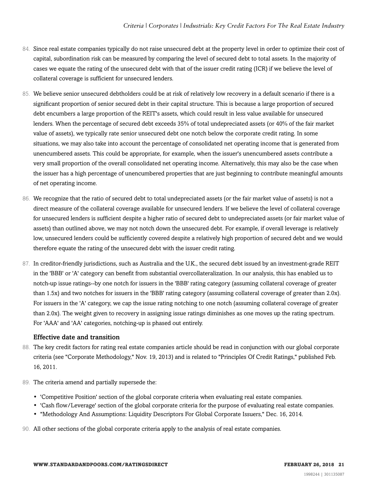- 84. Since real estate companies typically do not raise unsecured debt at the property level in order to optimize their cost of capital, subordination risk can be measured by comparing the level of secured debt to total assets. In the majority of cases we equate the rating of the unsecured debt with that of the issuer credit rating (ICR) if we believe the level of collateral coverage is sufficient for unsecured lenders.
- 85. We believe senior unsecured debtholders could be at risk of relatively low recovery in a default scenario if there is a significant proportion of senior secured debt in their capital structure. This is because a large proportion of secured debt encumbers a large proportion of the REIT's assets, which could result in less value available for unsecured lenders. When the percentage of secured debt exceeds 35% of total undepreciated assets (or 40% of the fair market value of assets), we typically rate senior unsecured debt one notch below the corporate credit rating. In some situations, we may also take into account the percentage of consolidated net operating income that is generated from unencumbered assets. This could be appropriate, for example, when the issuer's unencumbered assets contribute a very small proportion of the overall consolidated net operating income. Alternatively, this may also be the case when the issuer has a high percentage of unencumbered properties that are just beginning to contribute meaningful amounts of net operating income.
- 86. We recognize that the ratio of secured debt to total undepreciated assets (or the fair market value of assets) is not a direct measure of the collateral coverage available for unsecured lenders. If we believe the level of collateral coverage for unsecured lenders is sufficient despite a higher ratio of secured debt to undepreciated assets (or fair market value of assets) than outlined above, we may not notch down the unsecured debt. For example, if overall leverage is relatively low, unsecured lenders could be sufficiently covered despite a relatively high proportion of secured debt and we would therefore equate the rating of the unsecured debt with the issuer credit rating.
- 87. In creditor-friendly jurisdictions, such as Australia and the U.K., the secured debt issued by an investment-grade REIT in the 'BBB' or 'A' category can benefit from substantial overcollateralization. In our analysis, this has enabled us to notch-up issue ratings--by one notch for issuers in the 'BBB' rating category (assuming collateral coverage of greater than 1.5x) and two notches for issuers in the 'BBB' rating category (assuming collateral coverage of greater than 2.0x). For issuers in the 'A' category, we cap the issue rating notching to one notch (assuming collateral coverage of greater than 2.0x). The weight given to recovery in assigning issue ratings diminishes as one moves up the rating spectrum. For 'AAA' and 'AA' categories, notching-up is phased out entirely.

#### Effective date and transition

- 88. The key credit factors for rating real estate companies article should be read in conjunction with our global corporate criteria (see "Corporate Methodology," Nov. 19, 2013) and is related to "Principles Of Credit Ratings," published Feb. 16, 2011.
- 89. The criteria amend and partially supersede the:
	- 'Competitive Position' section of the global corporate criteria when evaluating real estate companies.
	- 'Cash flow/Leverage' section of the global corporate criteria for the purpose of evaluating real estate companies.
	- "Methodology And Assumptions: Liquidity Descriptors For Global Corporate Issuers," Dec. 16, 2014.
- 90. All other sections of the global corporate criteria apply to the analysis of real estate companies.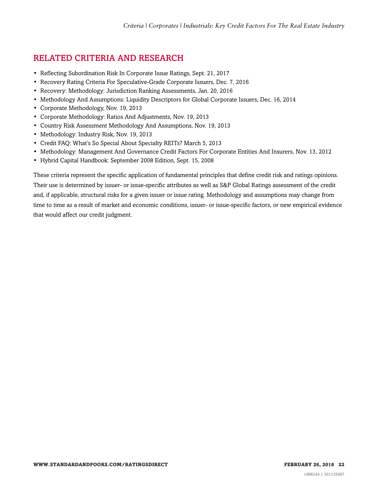# <span id="page-21-0"></span>RELATED CRITERIA AND RESEARCH

- Reflecting Subordination Risk In Corporate Issue Ratings, Sept. 21, 2017
- Recovery Rating Criteria For Speculative-Grade Corporate Issuers, Dec. 7, 2016
- Recovery: Methodology: Jurisdiction Ranking Assessments, Jan. 20, 2016
- Methodology And Assumptions: Liquidity Descriptors for Global Corporate Issuers, Dec. 16, 2014
- Corporate Methodology, Nov. 19, 2013
- Corporate Methodology: Ratios And Adjustments, Nov. 19, 2013
- Country Risk Assessment Methodology And Assumptions, Nov. 19, 2013
- Methodology: Industry Risk, Nov. 19, 2013
- Credit FAQ: What's So Special About Specialty REITs? March 5, 2013
- Methodology: Management And Governance Credit Factors For Corporate Entities And Insurers, Nov. 13, 2012
- Hybrid Capital Handbook: September 2008 Edition, Sept. 15, 2008

These criteria represent the specific application of fundamental principles that define credit risk and ratings opinions. Their use is determined by issuer- or issue-specific attributes as well as S&P Global Ratings assessment of the credit and, if applicable, structural risks for a given issuer or issue rating. Methodology and assumptions may change from time to time as a result of market and economic conditions, issuer- or issue-specific factors, or new empirical evidence that would affect our credit judgment.